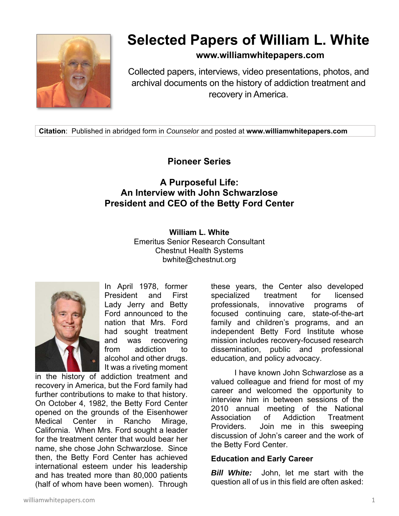

# **Selected Papers of William L. White**

**www.williamwhitepapers.com**

Collected papers, interviews, video presentations, photos, and archival documents on the history of addiction treatment and recovery in America.

**Citation**: Published in abridged form in *Counselor* and posted at **www.williamwhitepapers.com** 

# **Pioneer Series**

# **A Purposeful Life: An Interview with John Schwarzlose President and CEO of the Betty Ford Center**

**William L. White**  Emeritus Senior Research Consultant Chestnut Health Systems bwhite@chestnut.org



In April 1978, former President and First Lady Jerry and Betty Ford announced to the nation that Mrs. Ford had sought treatment and was recovering from addiction to alcohol and other drugs. It was a riveting moment

in the history of addiction treatment and recovery in America, but the Ford family had further contributions to make to that history. On October 4, 1982, the Betty Ford Center opened on the grounds of the Eisenhower Medical Center in Rancho Mirage, California. When Mrs. Ford sought a leader for the treatment center that would bear her name, she chose John Schwarzlose. Since then, the Betty Ford Center has achieved international esteem under his leadership and has treated more than 80,000 patients (half of whom have been women). Through

these years, the Center also developed specialized treatment for licensed professionals, innovative programs of focused continuing care, state-of-the-art family and children's programs, and an independent Betty Ford Institute whose mission includes recovery-focused research dissemination, public and professional education, and policy advocacy.

 I have known John Schwarzlose as a valued colleague and friend for most of my career and welcomed the opportunity to interview him in between sessions of the 2010 annual meeting of the National Association of Addiction Treatment Providers. Join me in this sweeping discussion of John's career and the work of the Betty Ford Center.

#### **Education and Early Career**

*Bill White:* John, let me start with the question all of us in this field are often asked: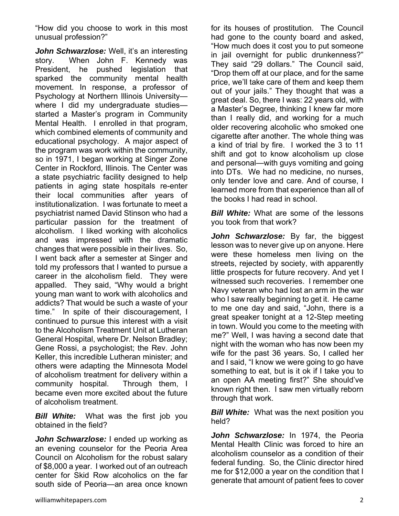"How did you choose to work in this most unusual profession?"

John Schwarzlose: Well, it's an interesting story. When John F. Kennedy was President, he pushed legislation that sparked the community mental health movement. In response, a professor of Psychology at Northern Illinois University where I did my undergraduate studiesstarted a Master's program in Community Mental Health. I enrolled in that program, which combined elements of community and educational psychology. A major aspect of the program was work within the community, so in 1971, I began working at Singer Zone Center in Rockford, Illinois. The Center was a state psychiatric facility designed to help patients in aging state hospitals re-enter their local communities after years of institutionalization. I was fortunate to meet a psychiatrist named David Stinson who had a particular passion for the treatment of alcoholism. I liked working with alcoholics and was impressed with the dramatic changes that were possible in their lives. So, I went back after a semester at Singer and told my professors that I wanted to pursue a career in the alcoholism field. They were appalled. They said, "Why would a bright young man want to work with alcoholics and addicts? That would be such a waste of your time." In spite of their discouragement, I continued to pursue this interest with a visit to the Alcoholism Treatment Unit at Lutheran General Hospital, where Dr. Nelson Bradley; Gene Rossi, a psychologist; the Rev. John Keller, this incredible Lutheran minister; and others were adapting the Minnesota Model of alcoholism treatment for delivery within a community hospital. Through them, I became even more excited about the future of alcoholism treatment.

*Bill White:* What was the first job you obtained in the field?

**John Schwarzlose:** I ended up working as an evening counselor for the Peoria Area Council on Alcoholism for the robust salary of \$8,000 a year. I worked out of an outreach center for Skid Row alcoholics on the far south side of Peoria—an area once known

for its houses of prostitution. The Council had gone to the county board and asked, "How much does it cost you to put someone in jail overnight for public drunkenness?" They said "29 dollars." The Council said, "Drop them off at our place, and for the same price, we'll take care of them and keep them out of your jails." They thought that was a great deal. So, there I was: 22 years old, with a Master's Degree, thinking I knew far more than I really did, and working for a much older recovering alcoholic who smoked one cigarette after another. The whole thing was a kind of trial by fire. I worked the 3 to 11 shift and got to know alcoholism up close and personal—with guys vomiting and going into DTs. We had no medicine, no nurses, only tender love and care. And of course, I learned more from that experience than all of the books I had read in school.

*Bill White:* What are some of the lessons you took from that work?

*John Schwarzlose:* By far, the biggest lesson was to never give up on anyone. Here were these homeless men living on the streets, rejected by society, with apparently little prospects for future recovery. And yet I witnessed such recoveries. I remember one Navy veteran who had lost an arm in the war who I saw really beginning to get it. He came to me one day and said, "John, there is a great speaker tonight at a 12-Step meeting in town. Would you come to the meeting with me?" Well, I was having a second date that night with the woman who has now been my wife for the past 36 years. So, I called her and I said, "I know we were going to go have something to eat, but is it ok if I take you to an open AA meeting first?" She should've known right then. I saw men virtually reborn through that work.

*Bill White:* What was the next position you held?

*John Schwarzlose:* In 1974, the Peoria Mental Health Clinic was forced to hire an alcoholism counselor as a condition of their federal funding. So, the Clinic director hired me for \$12,000 a year on the condition that I generate that amount of patient fees to cover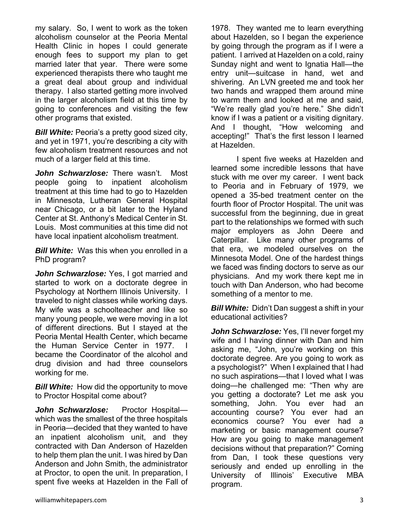my salary. So, I went to work as the token alcoholism counselor at the Peoria Mental Health Clinic in hopes I could generate enough fees to support my plan to get married later that year. There were some experienced therapists there who taught me a great deal about group and individual therapy. I also started getting more involved in the larger alcoholism field at this time by going to conferences and visiting the few other programs that existed.

*Bill White:* Peoria's a pretty good sized city, and yet in 1971, you're describing a city with few alcoholism treatment resources and not much of a larger field at this time.

*John Schwarzlose:* There wasn't. Most people going to inpatient alcoholism treatment at this time had to go to Hazelden in Minnesota, Lutheran General Hospital near Chicago, or a bit later to the Hyland Center at St. Anthony's Medical Center in St. Louis. Most communities at this time did not have local inpatient alcoholism treatment.

*Bill White:* Was this when you enrolled in a PhD program?

John Schwarzlose: Yes, I got married and started to work on a doctorate degree in Psychology at Northern Illinois University. I traveled to night classes while working days. My wife was a schoolteacher and like so many young people, we were moving in a lot of different directions. But I stayed at the Peoria Mental Health Center, which became the Human Service Center in 1977. became the Coordinator of the alcohol and drug division and had three counselors working for me.

**Bill White:** How did the opportunity to move to Proctor Hospital come about?

John Schwarzlose: Proctor Hospitalwhich was the smallest of the three hospitals in Peoria—decided that they wanted to have an inpatient alcoholism unit, and they contracted with Dan Anderson of Hazelden to help them plan the unit. I was hired by Dan Anderson and John Smith, the administrator at Proctor, to open the unit. In preparation, I spent five weeks at Hazelden in the Fall of

1978. They wanted me to learn everything about Hazelden, so I began the experience by going through the program as if I were a patient. I arrived at Hazelden on a cold, rainy Sunday night and went to Ignatia Hall—the entry unit—suitcase in hand, wet and shivering. An LVN greeted me and took her two hands and wrapped them around mine to warm them and looked at me and said, "We're really glad you're here." She didn't know if I was a patient or a visiting dignitary. And I thought, "How welcoming and accepting!" That's the first lesson I learned at Hazelden.

 I spent five weeks at Hazelden and learned some incredible lessons that have stuck with me over my career. I went back to Peoria and in February of 1979, we opened a 35-bed treatment center on the fourth floor of Proctor Hospital. The unit was successful from the beginning, due in great part to the relationships we formed with such major employers as John Deere and Caterpillar. Like many other programs of that era, we modeled ourselves on the Minnesota Model. One of the hardest things we faced was finding doctors to serve as our physicians. And my work there kept me in touch with Dan Anderson, who had become something of a mentor to me.

*Bill White:* Didn't Dan suggest a shift in your educational activities?

John Schwarzlose: Yes, I'll never forget my wife and I having dinner with Dan and him asking me, "John, you're working on this doctorate degree. Are you going to work as a psychologist?" When I explained that I had no such aspirations—that I loved what I was doing—he challenged me: "Then why are you getting a doctorate? Let me ask you something, John. You ever had an accounting course? You ever had an economics course? You ever had a marketing or basic management course? How are you going to make management decisions without that preparation?" Coming from Dan, I took these questions very seriously and ended up enrolling in the University of Illinois' Executive MBA program.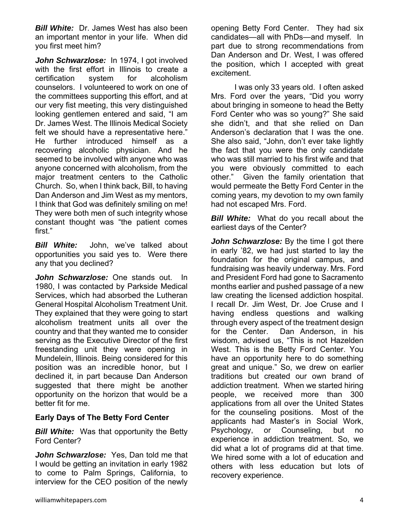*Bill White:* Dr. James West has also been an important mentor in your life. When did you first meet him?

*John Schwarzlose:* In 1974, I got involved with the first effort in Illinois to create a certification system for alcoholism counselors. I volunteered to work on one of the committees supporting this effort, and at our very fist meeting, this very distinguished looking gentlemen entered and said, "I am Dr. James West. The Illinois Medical Society felt we should have a representative here." He further introduced himself as a recovering alcoholic physician. And he seemed to be involved with anyone who was anyone concerned with alcoholism, from the major treatment centers to the Catholic Church. So, when I think back, Bill, to having Dan Anderson and Jim West as my mentors, I think that God was definitely smiling on me! They were both men of such integrity whose constant thought was "the patient comes first."

*Bill White:* John, we've talked about opportunities you said yes to. Were there any that you declined?

*John Schwarzlose:* One stands out. In 1980, I was contacted by Parkside Medical Services, which had absorbed the Lutheran General Hospital Alcoholism Treatment Unit. They explained that they were going to start alcoholism treatment units all over the country and that they wanted me to consider serving as the Executive Director of the first freestanding unit they were opening in Mundelein, Illinois. Being considered for this position was an incredible honor, but I declined it, in part because Dan Anderson suggested that there might be another opportunity on the horizon that would be a better fit for me.

# **Early Days of The Betty Ford Center**

**Bill White:** Was that opportunity the Betty Ford Center?

*John Schwarzlose:* Yes, Dan told me that I would be getting an invitation in early 1982 to come to Palm Springs, California, to interview for the CEO position of the newly

 I was only 33 years old. I often asked Mrs. Ford over the years, "Did you worry about bringing in someone to head the Betty Ford Center who was so young?" She said she didn't, and that she relied on Dan Anderson's declaration that I was the one. She also said, "John, don't ever take lightly the fact that you were the only candidate who was still married to his first wife and that you were obviously committed to each other." Given the family orientation that would permeate the Betty Ford Center in the coming years, my devotion to my own family had not escaped Mrs. Ford.

*Bill White:* What do you recall about the earliest days of the Center?

**John Schwarzlose:** By the time I got there in early '82, we had just started to lay the foundation for the original campus, and fundraising was heavily underway. Mrs. Ford and President Ford had gone to Sacramento months earlier and pushed passage of a new law creating the licensed addiction hospital. I recall Dr. Jim West, Dr. Joe Cruse and I having endless questions and walking through every aspect of the treatment design for the Center. Dan Anderson, in his wisdom, advised us, "This is not Hazelden West. This is the Betty Ford Center. You have an opportunity here to do something great and unique." So, we drew on earlier traditions but created our own brand of addiction treatment. When we started hiring people, we received more than 300 applications from all over the United States for the counseling positions. Most of the applicants had Master's in Social Work, Psychology, or Counseling, but no experience in addiction treatment. So, we did what a lot of programs did at that time. We hired some with a lot of education and others with less education but lots of recovery experience.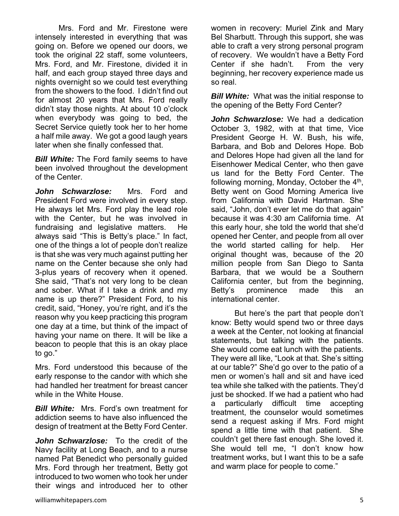Mrs. Ford and Mr. Firestone were intensely interested in everything that was going on. Before we opened our doors, we took the original 22 staff, some volunteers, Mrs. Ford, and Mr. Firestone, divided it in half, and each group stayed three days and nights overnight so we could test everything from the showers to the food. I didn't find out for almost 20 years that Mrs. Ford really didn't stay those nights. At about 10 o'clock when everybody was going to bed, the Secret Service quietly took her to her home a half mile away. We got a good laugh years later when she finally confessed that.

**Bill White:** The Ford family seems to have been involved throughout the development of the Center.

*John Schwarzlose:* Mrs. Ford and President Ford were involved in every step. He always let Mrs. Ford play the lead role with the Center, but he was involved in fundraising and legislative matters. He always said "This is Betty's place." In fact, one of the things a lot of people don't realize is that she was very much against putting her name on the Center because she only had 3-plus years of recovery when it opened. She said, "That's not very long to be clean and sober. What if I take a drink and my name is up there?" President Ford, to his credit, said, "Honey, you're right, and it's the reason why you keep practicing this program one day at a time, but think of the impact of having your name on there. It will be like a beacon to people that this is an okay place to go."

Mrs. Ford understood this because of the early response to the candor with which she had handled her treatment for breast cancer while in the White House.

*Bill White:* Mrs. Ford's own treatment for addiction seems to have also influenced the design of treatment at the Betty Ford Center.

*John Schwarzlose:* To the credit of the Navy facility at Long Beach, and to a nurse named Pat Benedict who personally guided Mrs. Ford through her treatment, Betty got introduced to two women who took her under their wings and introduced her to other

women in recovery: Muriel Zink and Mary Bel Sharbutt. Through this support, she was able to craft a very strong personal program of recovery. We wouldn't have a Betty Ford Center if she hadn't. From the very beginning, her recovery experience made us so real.

*Bill White:* What was the initial response to the opening of the Betty Ford Center?

*John Schwarzlose:* We had a dedication October 3, 1982, with at that time, Vice President George H. W. Bush, his wife, Barbara, and Bob and Delores Hope. Bob and Delores Hope had given all the land for Eisenhower Medical Center, who then gave us land for the Betty Ford Center. The following morning, Monday, October the  $4<sup>th</sup>$ , Betty went on Good Morning America live from California with David Hartman. She said, "John, don't ever let me do that again" because it was 4:30 am California time. At this early hour, she told the world that she'd opened her Center, and people from all over the world started calling for help. Her original thought was, because of the 20 million people from San Diego to Santa Barbara, that we would be a Southern California center, but from the beginning, Betty's prominence made this an international center.

 But here's the part that people don't know: Betty would spend two or three days a week at the Center, not looking at financial statements, but talking with the patients. She would come eat lunch with the patients. They were all like, "Look at that. She's sitting at our table?" She'd go over to the patio of a men or women's hall and sit and have iced tea while she talked with the patients. They'd just be shocked. If we had a patient who had a particularly difficult time accepting treatment, the counselor would sometimes send a request asking if Mrs. Ford might spend a little time with that patient. She couldn't get there fast enough. She loved it. She would tell me, "I don't know how treatment works, but I want this to be a safe and warm place for people to come."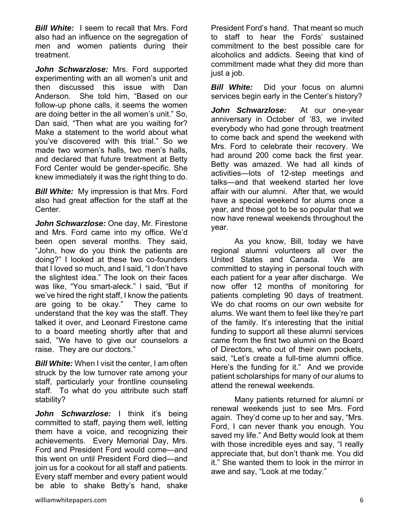*Bill White:* I seem to recall that Mrs. Ford also had an influence on the segregation of men and women patients during their treatment.

*John Schwarzlose:* Mrs. Ford supported experimenting with an all women's unit and then discussed this issue with Dan Anderson. She told him, "Based on our follow-up phone calls, it seems the women are doing better in the all women's unit." So, Dan said, "Then what are you waiting for? Make a statement to the world about what you've discovered with this trial." So we made two women's halls, two men's halls, and declared that future treatment at Betty Ford Center would be gender-specific. She knew immediately it was the right thing to do.

*Bill White:* My impression is that Mrs. Ford also had great affection for the staff at the Center.

*John Schwarzlose:* One day, Mr. Firestone and Mrs. Ford came into my office. We'd been open several months. They said, "John, how do you think the patients are doing?" I looked at these two co-founders that I loved so much, and I said, "I don't have the slightest idea." The look on their faces was like, "You smart-aleck." I said, "But if we've hired the right staff, I know the patients are going to be okay." They came to understand that the key was the staff. They talked it over, and Leonard Firestone came to a board meeting shortly after that and said, "We have to give our counselors a raise. They are our doctors."

*Bill White:* When I visit the center, I am often struck by the low turnover rate among your staff, particularly your frontline counseling staff. To what do you attribute such staff stability?

John Schwarzlose: I think it's being committed to staff, paying them well, letting them have a voice, and recognizing their achievements. Every Memorial Day, Mrs. Ford and President Ford would come—and this went on until President Ford died—and join us for a cookout for all staff and patients. Every staff member and every patient would be able to shake Betty's hand, shake

President Ford's hand. That meant so much to staff to hear the Fords' sustained commitment to the best possible care for alcoholics and addicts. Seeing that kind of commitment made what they did more than just a job.

*Bill White:* Did your focus on alumni services begin early in the Center's history?

*John Schwarzlose:*At our one-year anniversary in October of '83, we invited everybody who had gone through treatment to come back and spend the weekend with Mrs. Ford to celebrate their recovery. We had around 200 come back the first year. Betty was amazed. We had all kinds of activities—lots of 12-step meetings and talks—and that weekend started her love affair with our alumni. After that, we would have a special weekend for alums once a year, and those got to be so popular that we now have renewal weekends throughout the year.

 As you know, Bill, today we have regional alumni volunteers all over the United States and Canada. We are committed to staying in personal touch with each patient for a year after discharge. We now offer 12 months of monitoring for patients completing 90 days of treatment. We do chat rooms on our own website for alums. We want them to feel like they're part of the family. It's interesting that the initial funding to support all these alumni services came from the first two alumni on the Board of Directors, who out of their own pockets, said, "Let's create a full-time alumni office. Here's the funding for it." And we provide patient scholarships for many of our alums to attend the renewal weekends.

 Many patients returned for alumni or renewal weekends just to see Mrs. Ford again. They'd come up to her and say, "Mrs. Ford, I can never thank you enough. You saved my life." And Betty would look at them with those incredible eyes and say, "I really appreciate that, but don't thank me. You did it." She wanted them to look in the mirror in awe and say, "Look at me today."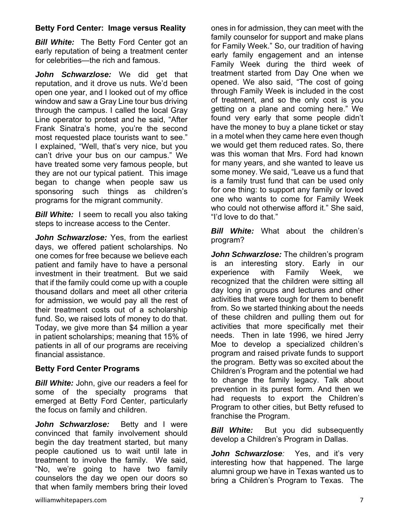# **Betty Ford Center: Image versus Reality**

*Bill White:* The Betty Ford Center got an early reputation of being a treatment center for celebrities—the rich and famous.

*John Schwarzlose:* We did get that reputation, and it drove us nuts. We'd been open one year, and I looked out of my office window and saw a Gray Line tour bus driving through the campus. I called the local Gray Line operator to protest and he said, "After Frank Sinatra's home, you're the second most requested place tourists want to see." I explained, "Well, that's very nice, but you can't drive your bus on our campus." We have treated some very famous people, but they are not our typical patient. This image began to change when people saw us sponsoring such things as children's programs for the migrant community.

**Bill White:** I seem to recall you also taking steps to increase access to the Center.

*John Schwarzlose:* Yes, from the earliest days, we offered patient scholarships. No one comes for free because we believe each patient and family have to have a personal investment in their treatment. But we said that if the family could come up with a couple thousand dollars and meet all other criteria for admission, we would pay all the rest of their treatment costs out of a scholarship fund. So, we raised lots of money to do that. Today, we give more than \$4 million a year in patient scholarships; meaning that 15% of patients in all of our programs are receiving financial assistance.

# **Betty Ford Center Programs**

*Bill White:* John, give our readers a feel for some of the specialty programs that emerged at Betty Ford Center, particularly the focus on family and children.

*John Schwarzlose:* Betty and I were convinced that family involvement should begin the day treatment started, but many people cautioned us to wait until late in treatment to involve the family. We said, "No, we're going to have two family counselors the day we open our doors so that when family members bring their loved

ones in for admission, they can meet with the family counselor for support and make plans for Family Week." So, our tradition of having early family engagement and an intense Family Week during the third week of treatment started from Day One when we opened. We also said, "The cost of going through Family Week is included in the cost of treatment, and so the only cost is you getting on a plane and coming here." We found very early that some people didn't have the money to buy a plane ticket or stay in a motel when they came here even though we would get them reduced rates. So, there was this woman that Mrs. Ford had known for many years, and she wanted to leave us some money. We said, "Leave us a fund that is a family trust fund that can be used only for one thing: to support any family or loved one who wants to come for Family Week who could not otherwise afford it." She said, "I'd love to do that."

*Bill White:* What about the children's program?

*John Schwarzlose:* The children's program is an interesting story. Early in our experience with Family Week, we recognized that the children were sitting all day long in groups and lectures and other activities that were tough for them to benefit from. So we started thinking about the needs of these children and pulling them out for activities that more specifically met their needs. Then in late 1996, we hired Jerry Moe to develop a specialized children's program and raised private funds to support the program. Betty was so excited about the Children's Program and the potential we had to change the family legacy. Talk about prevention in its purest form. And then we had requests to export the Children's Program to other cities, but Betty refused to franchise the Program.

*Bill White:* But you did subsequently develop a Children's Program in Dallas.

*John Schwarzlose:* Yes, and it's very interesting how that happened. The large alumni group we have in Texas wanted us to bring a Children's Program to Texas. The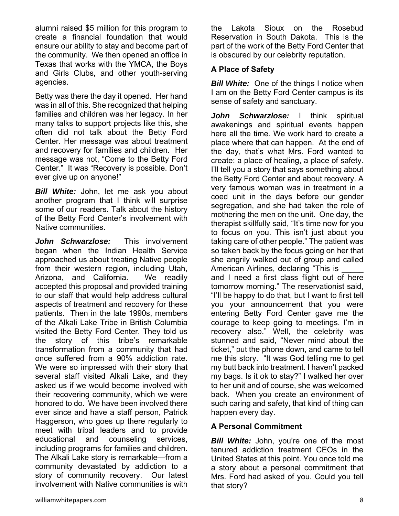alumni raised \$5 million for this program to create a financial foundation that would ensure our ability to stay and become part of the community. We then opened an office in Texas that works with the YMCA, the Boys and Girls Clubs, and other youth-serving agencies.

Betty was there the day it opened. Her hand was in all of this. She recognized that helping families and children was her legacy. In her many talks to support projects like this, she often did not talk about the Betty Ford Center. Her message was about treatment and recovery for families and children. Her message was not, "Come to the Betty Ford Center." It was "Recovery is possible. Don't ever give up on anyone!"

*Bill White:* John, let me ask you about another program that I think will surprise some of our readers. Talk about the history of the Betty Ford Center's involvement with Native communities.

*John Schwarzlose:* This involvement began when the Indian Health Service approached us about treating Native people from their western region, including Utah, Arizona, and California. We readily accepted this proposal and provided training to our staff that would help address cultural aspects of treatment and recovery for these patients. Then in the late 1990s, members of the Alkali Lake Tribe in British Columbia visited the Betty Ford Center. They told us the story of this tribe's remarkable transformation from a community that had once suffered from a 90% addiction rate. We were so impressed with their story that several staff visited Alkali Lake, and they asked us if we would become involved with their recovering community, which we were honored to do. We have been involved there ever since and have a staff person, Patrick Haggerson, who goes up there regularly to meet with tribal leaders and to provide educational and counseling services, including programs for families and children. The Alkali Lake story is remarkable—from a community devastated by addiction to a story of community recovery. Our latest involvement with Native communities is with

the Lakota Sioux on the Rosebud Reservation in South Dakota. This is the part of the work of the Betty Ford Center that is obscured by our celebrity reputation.

#### **A Place of Safety**

*Bill White:* One of the things I notice when I am on the Betty Ford Center campus is its sense of safety and sanctuary.

John Schwarzlose: I think spiritual awakenings and spiritual events happen here all the time. We work hard to create a place where that can happen. At the end of the day, that's what Mrs. Ford wanted to create: a place of healing, a place of safety. I'll tell you a story that says something about the Betty Ford Center and about recovery. A very famous woman was in treatment in a coed unit in the days before our gender segregation, and she had taken the role of mothering the men on the unit. One day, the therapist skillfully said, "It's time now for you to focus on you. This isn't just about you taking care of other people." The patient was so taken back by the focus going on her that she angrily walked out of group and called American Airlines, declaring "This is and I need a first class flight out of here tomorrow morning." The reservationist said, "I'll be happy to do that, but I want to first tell you your announcement that you were entering Betty Ford Center gave me the courage to keep going to meetings. I'm in recovery also." Well, the celebrity was stunned and said, "Never mind about the ticket," put the phone down, and came to tell me this story. "It was God telling me to get my butt back into treatment. I haven't packed my bags. Is it ok to stay?" I walked her over to her unit and of course, she was welcomed back. When you create an environment of such caring and safety, that kind of thing can happen every day.

# **A Personal Commitment**

*Bill White:* John, you're one of the most tenured addiction treatment CEOs in the United States at this point. You once told me a story about a personal commitment that Mrs. Ford had asked of you. Could you tell that story?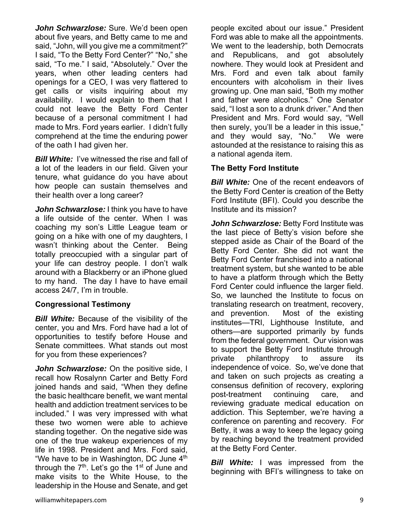*John Schwarzlose:* Sure. We'd been open about five years, and Betty came to me and said, "John, will you give me a commitment?" I said, "To the Betty Ford Center?" "No," she said, "To me." I said, "Absolutely." Over the years, when other leading centers had openings for a CEO, I was very flattered to get calls or visits inquiring about my availability. I would explain to them that I could not leave the Betty Ford Center because of a personal commitment I had made to Mrs. Ford years earlier. I didn't fully comprehend at the time the enduring power of the oath I had given her.

*Bill White:* I've witnessed the rise and fall of a lot of the leaders in our field. Given your tenure, what guidance do you have about how people can sustain themselves and their health over a long career?

*John Schwarzlose:* I think you have to have a life outside of the center. When I was coaching my son's Little League team or going on a hike with one of my daughters, I wasn't thinking about the Center. Being totally preoccupied with a singular part of your life can destroy people. I don't walk around with a Blackberry or an iPhone glued to my hand. The day I have to have email access 24/7, I'm in trouble.

# **Congressional Testimony**

*Bill White:* Because of the visibility of the center, you and Mrs. Ford have had a lot of opportunities to testify before House and Senate committees. What stands out most for you from these experiences?

**John Schwarzlose:** On the positive side, I recall how Rosalynn Carter and Betty Ford joined hands and said, "When they define the basic healthcare benefit, we want mental health and addiction treatment services to be included." I was very impressed with what these two women were able to achieve standing together. On the negative side was one of the true wakeup experiences of my life in 1998. President and Mrs. Ford said, "We have to be in Washington, DC June  $4<sup>th</sup>$ through the  $7<sup>th</sup>$ . Let's go the 1<sup>st</sup> of June and make visits to the White House, to the leadership in the House and Senate, and get

people excited about our issue." President Ford was able to make all the appointments. We went to the leadership, both Democrats and Republicans, and got absolutely nowhere. They would look at President and Mrs. Ford and even talk about family encounters with alcoholism in their lives growing up. One man said, "Both my mother and father were alcoholics." One Senator said, "I lost a son to a drunk driver." And then President and Mrs. Ford would say, "Well then surely, you'll be a leader in this issue," and they would say, "No." We were astounded at the resistance to raising this as a national agenda item.

# **The Betty Ford Institute**

**Bill White:** One of the recent endeavors of the Betty Ford Center is creation of the Betty Ford Institute (BFI). Could you describe the Institute and its mission?

*John Schwarzlose:* Betty Ford Institute was the last piece of Betty's vision before she stepped aside as Chair of the Board of the Betty Ford Center. She did not want the Betty Ford Center franchised into a national treatment system, but she wanted to be able to have a platform through which the Betty Ford Center could influence the larger field. So, we launched the Institute to focus on translating research on treatment, recovery, and prevention. Most of the existing institutes—TRI, Lighthouse Institute, and others—are supported primarily by funds from the federal government. Our vision was to support the Betty Ford Institute through private philanthropy to assure its independence of voice. So, we've done that and taken on such projects as creating a consensus definition of recovery, exploring post-treatment continuing care, and reviewing graduate medical education on addiction. This September, we're having a conference on parenting and recovery. For Betty, it was a way to keep the legacy going by reaching beyond the treatment provided at the Betty Ford Center.

*Bill White:* I was impressed from the beginning with BFI's willingness to take on